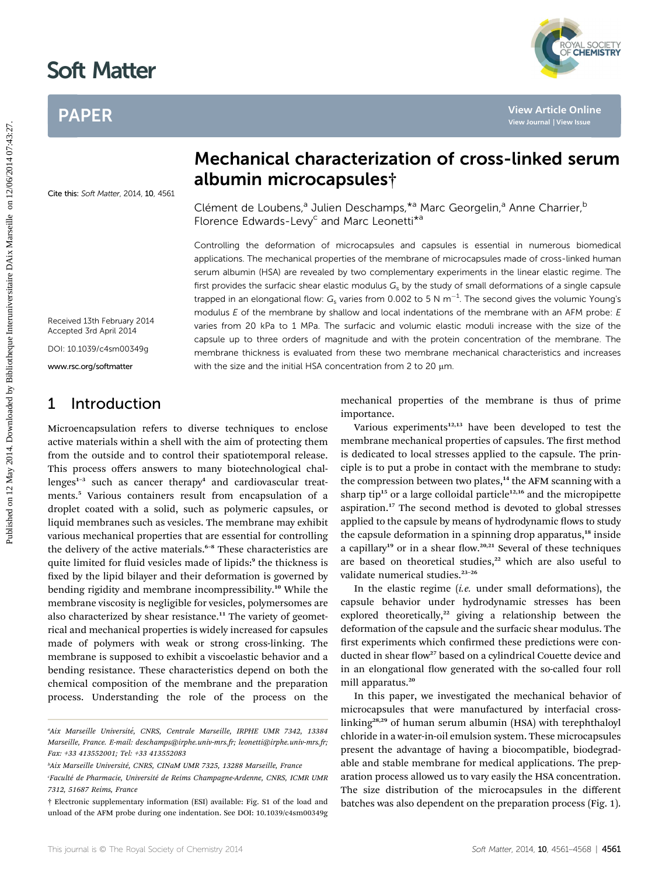# Soft Matter

# PAPER



Cite this: Soft Matter, 2014, 10, 4561

# Mechanical characterization of cross-linked serum albumin microcapsules†

Clément de Loubens,<sup>a</sup> Julien Deschamps, \*a Marc Georgelin,<sup>a</sup> Anne Charrier, <sup>b</sup> Florence Edwards-Levy<sup>c</sup> and Marc Leonetti<sup>\*a</sup>

Controlling the deformation of microcapsules and capsules is essential in numerous biomedical applications. The mechanical properties of the membrane of microcapsules made of cross-linked human serum albumin (HSA) are revealed by two complementary experiments in the linear elastic regime. The first provides the surfacic shear elastic modulus  $G<sub>s</sub>$  by the study of small deformations of a single capsule trapped in an elongational flow:  $G_{\rm s}$  varies from 0.002 to 5 N m $^{-1}$ . The second gives the volumic Young's modulus  $E$  of the membrane by shallow and local indentations of the membrane with an AFM probe:  $E$ varies from 20 kPa to 1 MPa. The surfacic and volumic elastic moduli increase with the size of the capsule up to three orders of magnitude and with the protein concentration of the membrane. The membrane thickness is evaluated from these two membrane mechanical characteristics and increases with the size and the initial HSA concentration from 2 to 20  $\mu$ m. PAPER<br> **Published on 12 May 2014**<br> **Published on 12014. Downloaded by Bibliothera and the content of methods on 12/06/2014 2014. Download by Bibliotheque Internal properties the methods of the methods of the methods of the** 

Received 13th February 2014 Accepted 3rd April 2014

DOI: 10.1039/c4sm00349g

www.rsc.org/softmatter

## 1 Introduction

Microencapsulation refers to diverse techniques to enclose active materials within a shell with the aim of protecting them from the outside and to control their spatiotemporal release. This process offers answers to many biotechnological challenges $1-3$  such as cancer therapy<sup>4</sup> and cardiovascular treatments.<sup>5</sup> Various containers result from encapsulation of a droplet coated with a solid, such as polymeric capsules, or liquid membranes such as vesicles. The membrane may exhibit various mechanical properties that are essential for controlling the delivery of the active materials.<sup>6-8</sup> These characteristics are quite limited for fluid vesicles made of lipids:<sup>9</sup> the thickness is fixed by the lipid bilayer and their deformation is governed by bending rigidity and membrane incompressibility.<sup>10</sup> While the membrane viscosity is negligible for vesicles, polymersomes are also characterized by shear resistance.<sup>11</sup> The variety of geometrical and mechanical properties is widely increased for capsules made of polymers with weak or strong cross-linking. The membrane is supposed to exhibit a viscoelastic behavior and a bending resistance. These characteristics depend on both the chemical composition of the membrane and the preparation process. Understanding the role of the process on the mechanical properties of the membrane is thus of prime importance.

Various experiments $12,13$  have been developed to test the membrane mechanical properties of capsules. The first method is dedicated to local stresses applied to the capsule. The principle is to put a probe in contact with the membrane to study: the compression between two plates,<sup>14</sup> the AFM scanning with a sharp tip<sup>15</sup> or a large colloidal particle<sup>12,16</sup> and the micropipette aspiration.<sup>17</sup> The second method is devoted to global stresses applied to the capsule by means of hydrodynamic flows to study the capsule deformation in a spinning drop apparatus,<sup>18</sup> inside a capillary<sup>19</sup> or in a shear flow.<sup>20,21</sup> Several of these techniques are based on theoretical studies,<sup>22</sup> which are also useful to validate numerical studies.<sup>23-26</sup>

In the elastic regime  $(i.e.$  under small deformations), the capsule behavior under hydrodynamic stresses has been explored theoretically,<sup>22</sup> giving a relationship between the deformation of the capsule and the surfacic shear modulus. The first experiments which confirmed these predictions were conducted in shear flow<sup>27</sup> based on a cylindrical Couette device and in an elongational flow generated with the so-called four roll mill apparatus.<sup>20</sup>

In this paper, we investigated the mechanical behavior of microcapsules that were manufactured by interfacial crosslinking28,29 of human serum albumin (HSA) with terephthaloyl chloride in a water-in-oil emulsion system. These microcapsules present the advantage of having a biocompatible, biodegradable and stable membrane for medical applications. The preparation process allowed us to vary easily the HSA concentration. The size distribution of the microcapsules in the different batches was also dependent on the preparation process (Fig. 1).

<sup>&</sup>lt;sup>a</sup>Aix Marseille Université, CNRS, Centrale Marseille, IRPHE UMR 7342, 13384 Marseille, France. E-mail: deschamps@irphe.univ-mrs.fr; leonetti@irphe.univ-mrs.fr; Fax: +33 413552001; Tel: +33 413552083

<sup>&</sup>lt;sup>b</sup>Aix Marseille Université, CNRS, CINaM UMR 7325, 13288 Marseille, France

<sup>&#</sup>x27;Faculté de Pharmacie, Université de Reims Champagne-Ardenne, CNRS, ICMR UMR 7312, 51687 Reims, France

<sup>†</sup> Electronic supplementary information (ESI) available: Fig. S1 of the load and unload of the AFM probe during one indentation. See DOI: 10.1039/c4sm00349g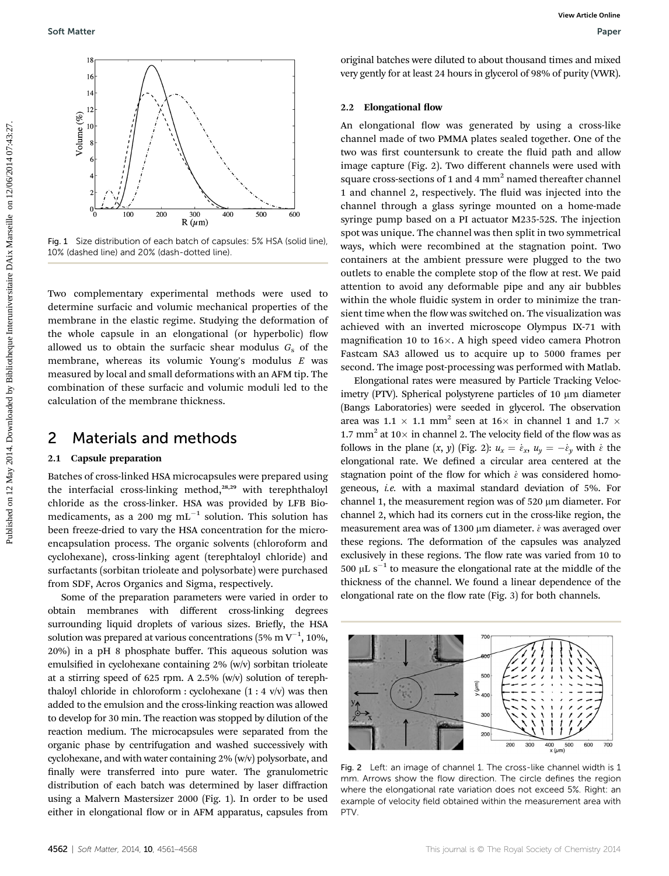

Fig. 1 Size distribution of each batch of capsules: 5% HSA (solid line), 10% (dashed line) and 20% (dash-dotted line).

Two complementary experimental methods were used to determine surfacic and volumic mechanical properties of the membrane in the elastic regime. Studying the deformation of the whole capsule in an elongational (or hyperbolic) flow allowed us to obtain the surfacic shear modulus  $G_s$  of the membrane, whereas its volumic Young's modulus E was measured by local and small deformations with an AFM tip. The combination of these surfacic and volumic moduli led to the calculation of the membrane thickness.

### 2 Materials and methods

#### 2.1 Capsule preparation

Batches of cross-linked HSA microcapsules were prepared using the interfacial cross-linking method,<sup>28,29</sup> with terephthaloyl chloride as the cross-linker. HSA was provided by LFB Biomedicaments, as a 200 mg  $mL^{-1}$  solution. This solution has been freeze-dried to vary the HSA concentration for the microencapsulation process. The organic solvents (chloroform and cyclohexane), cross-linking agent (terephtaloyl chloride) and surfactants (sorbitan trioleate and polysorbate) were purchased from SDF, Acros Organics and Sigma, respectively.

Some of the preparation parameters were varied in order to obtain membranes with different cross-linking degrees surrounding liquid droplets of various sizes. Briefly, the HSA solution was prepared at various concentrations (5% m  $\rm V^{-1},$  10%, 20%) in a pH 8 phosphate buffer. This aqueous solution was emulsified in cyclohexane containing  $2\%$  (w/v) sorbitan trioleate at a stirring speed of 625 rpm. A 2.5% (w/v) solution of terephthaloyl chloride in chloroform : cyclohexane  $(1:4 \text{ v/v})$  was then added to the emulsion and the cross-linking reaction was allowed to develop for 30 min. The reaction was stopped by dilution of the reaction medium. The microcapsules were separated from the organic phase by centrifugation and washed successively with cyclohexane, and with water containing 2% (w/v) polysorbate, and finally were transferred into pure water. The granulometric distribution of each batch was determined by laser diffraction using a Malvern Mastersizer 2000 (Fig. 1). In order to be used either in elongational flow or in AFM apparatus, capsules from

original batches were diluted to about thousand times and mixed very gently for at least 24 hours in glycerol of 98% of purity (VWR).

#### 2.2 Elongational flow

An elongational flow was generated by using a cross-like channel made of two PMMA plates sealed together. One of the two was first countersunk to create the fluid path and allow image capture (Fig. 2). Two different channels were used with square cross-sections of 1 and 4  $mm<sup>2</sup>$  named thereafter channel 1 and channel 2, respectively. The fluid was injected into the channel through a glass syringe mounted on a home-made syringe pump based on a PI actuator M235-52S. The injection spot was unique. The channel was then split in two symmetrical ways, which were recombined at the stagnation point. Two containers at the ambient pressure were plugged to the two outlets to enable the complete stop of the flow at rest. We paid attention to avoid any deformable pipe and any air bubbles within the whole fluidic system in order to minimize the transient time when the flow was switched on. The visualization was achieved with an inverted microscope Olympus IX-71 with magnification 10 to  $16\times$ . A high speed video camera Photron Fastcam SA3 allowed us to acquire up to 5000 frames per second. The image post-processing was performed with Matlab. **Published on 12** May 2014. The complete on the classic properties of the second of the second of the second of the second of the second of the second of the second of the second of the second of the second of the second

Elongational rates were measured by Particle Tracking Velocimetry (PTV). Spherical polystyrene particles of  $10 \mu m$  diameter (Bangs Laboratories) were seeded in glycerol. The observation area was 1.1  $\times$  1.1 mm<sup>2</sup> seen at 16 $\times$  in channel 1 and 1.7  $\times$ 1.7 mm<sup>2</sup> at 10 $\times$  in channel 2. The velocity field of the flow was as follows in the plane  $(x, y)$  (Fig. 2):  $u_x = \dot{\varepsilon}_x$ ,  $u_y = -\dot{\varepsilon}_y$  with  $\dot{\varepsilon}$  the elongational rate. We defined a circular area centered at the stagnation point of the flow for which  $\dot{\varepsilon}$  was considered homogeneous, i.e. with a maximal standard deviation of 5%. For channel 1, the measurement region was of 520 µm diameter. For channel 2, which had its corners cut in the cross-like region, the measurement area was of 1300  $\mu$ m diameter.  $\dot{\varepsilon}$  was averaged over these regions. The deformation of the capsules was analyzed exclusively in these regions. The flow rate was varied from 10 to 500  $\mu$ L s<sup>-1</sup> to measure the elongational rate at the middle of the thickness of the channel. We found a linear dependence of the elongational rate on the flow rate (Fig. 3) for both channels.



Fig. 2 Left: an image of channel 1. The cross-like channel width is 1 mm. Arrows show the flow direction. The circle defines the region where the elongational rate variation does not exceed 5%. Right: an example of velocity field obtained within the measurement area with PTV.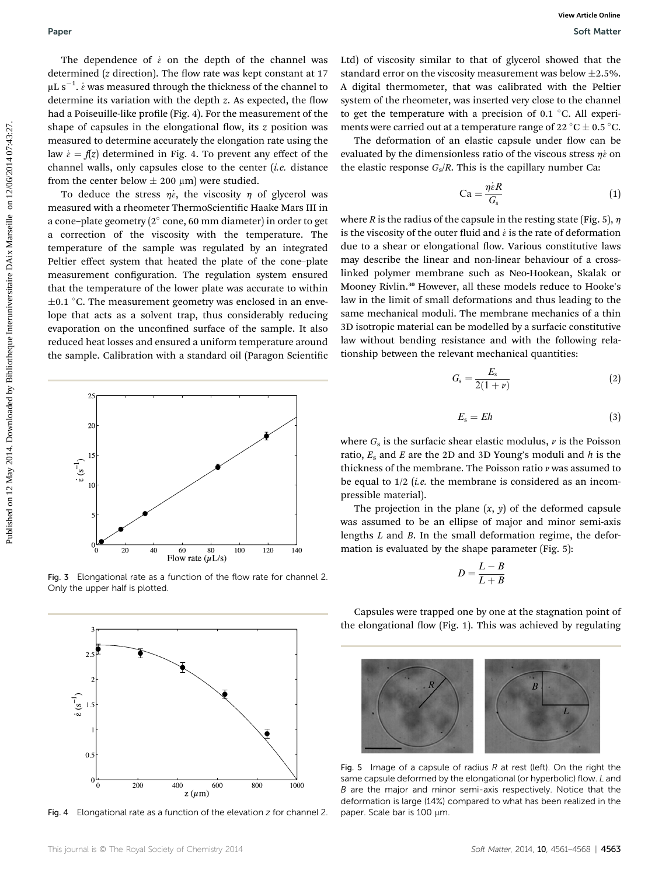The dependence of  $\dot{\varepsilon}$  on the depth of the channel was determined ( $z$  direction). The flow rate was kept constant at 17  $\rm \mu L~s^{-1}.$   $\dot{\varepsilon}$  was measured through the thickness of the channel to determine its variation with the depth  $z$ . As expected, the flow had a Poiseuille-like profile (Fig. 4). For the measurement of the shape of capsules in the elongational flow, its  $z$  position was measured to determine accurately the elongation rate using the law  $\dot{\varepsilon} = f(z)$  determined in Fig. 4. To prevent any effect of the channel walls, only capsules close to the center  $(i.e.$  distance from the center below  $\pm 200 \mu m$ ) were studied.

To deduce the stress  $\eta \dot{\varepsilon}$ , the viscosity  $\eta$  of glycerol was measured with a rheometer ThermoScientific Haake Mars III in a cone–plate geometry ( $2^\circ$  cone, 60 mm diameter) in order to get a correction of the viscosity with the temperature. The temperature of the sample was regulated by an integrated Peltier effect system that heated the plate of the cone–plate measurement configuration. The regulation system ensured that the temperature of the lower plate was accurate to within  $\pm 0.1$  °C. The measurement geometry was enclosed in an envelope that acts as a solvent trap, thus considerably reducing evaporation on the unconfined surface of the sample. It also reduced heat losses and ensured a uniform temperature around the sample. Calibration with a standard oil (Paragon Scientific **Puper**<br> **Public Constrained** 1. on the relation of the channel sets Ltd) of views<br>by monotonent as of photonent as please of the constrained by the channel on the relation of the theoretic on 12 Max 2014<br>
Let  $\alpha$ -1 May



Fig. 3 Elongational rate as a function of the flow rate for channel 2. Only the upper half is plotted.



Fig. 4 Elongational rate as a function of the elevation z for channel 2.

Ltd) of viscosity similar to that of glycerol showed that the standard error on the viscosity measurement was below  $\pm 2.5$ %. A digital thermometer, that was calibrated with the Peltier system of the rheometer, was inserted very close to the channel to get the temperature with a precision of 0.1  $\degree$ C. All experiments were carried out at a temperature range of 22 °C  $\pm$  0.5 °C.

The deformation of an elastic capsule under flow can be evaluated by the dimensionless ratio of the viscous stress  $\eta\dot{\varepsilon}$  on the elastic response  $G_s/R$ . This is the capillary number Ca:

$$
Ca = \frac{\eta \dot{\varepsilon}R}{G_s} \tag{1}
$$

where R is the radius of the capsule in the resting state (Fig. 5),  $\eta$ is the viscosity of the outer fluid and  $\dot{\varepsilon}$  is the rate of deformation due to a shear or elongational flow. Various constitutive laws may describe the linear and non-linear behaviour of a crosslinked polymer membrane such as Neo-Hookean, Skalak or Mooney Rivlin.<sup>30</sup> However, all these models reduce to Hooke's law in the limit of small deformations and thus leading to the same mechanical moduli. The membrane mechanics of a thin 3D isotropic material can be modelled by a surfacic constitutive law without bending resistance and with the following relationship between the relevant mechanical quantities:

$$
G_{\rm s} = \frac{E_{\rm s}}{2(1+\nu)}\tag{2}
$$

$$
E_{\rm s}=Eh\tag{3}
$$

where  $G_s$  is the surfacic shear elastic modulus,  $\nu$  is the Poisson ratio,  $E_s$  and E are the 2D and 3D Young's moduli and h is the thickness of the membrane. The Poisson ratio  $\nu$  was assumed to be equal to  $1/2$  (*i.e.* the membrane is considered as an incompressible material).

The projection in the plane  $(x, y)$  of the deformed capsule was assumed to be an ellipse of major and minor semi-axis lengths L and B. In the small deformation regime, the deformation is evaluated by the shape parameter (Fig. 5):

$$
D = \frac{L - B}{L + B}
$$

Capsules were trapped one by one at the stagnation point of the elongational flow (Fig. 1). This was achieved by regulating



Fig. 5 Image of a capsule of radius  $R$  at rest (left). On the right the same capsule deformed by the elongational (or hyperbolic) flow. L and B are the major and minor semi-axis respectively. Notice that the deformation is large (14%) compared to what has been realized in the paper. Scale bar is 100 µm.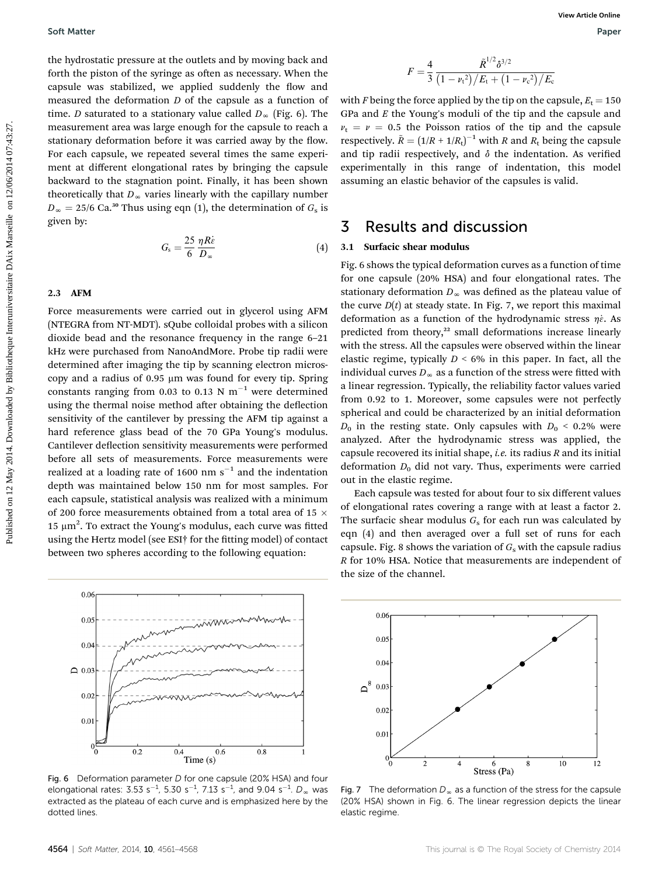the hydrostatic pressure at the outlets and by moving back and forth the piston of the syringe as often as necessary. When the capsule was stabilized, we applied suddenly the flow and measured the deformation D of the capsule as a function of time. *D* saturated to a stationary value called  $D_{\infty}$  (Fig. 6). The measurement area was large enough for the capsule to reach a stationary deformation before it was carried away by the flow. For each capsule, we repeated several times the same experiment at different elongational rates by bringing the capsule backward to the stagnation point. Finally, it has been shown theoretically that  $D_{\infty}$  varies linearly with the capillary number  $D_{\infty} = 25/6$  Ca.<sup>30</sup> Thus using eqn (1), the determination of  $G_s$  is given by:

$$
G_{\rm s} = \frac{25}{6} \frac{\eta R \dot{\epsilon}}{D_{\infty}} \tag{4}
$$

#### 2.3 AFM

Force measurements were carried out in glycerol using AFM (NTEGRA from NT-MDT). sQube colloidal probes with a silicon dioxide bead and the resonance frequency in the range 6–21 kHz were purchased from NanoAndMore. Probe tip radii were determined after imaging the tip by scanning electron microscopy and a radius of  $0.95 \mu m$  was found for every tip. Spring constants ranging from 0.03 to 0.13 N  $m^{-1}$  were determined using the thermal noise method after obtaining the deflection sensitivity of the cantilever by pressing the AFM tip against a hard reference glass bead of the 70 GPa Young's modulus. Cantilever deflection sensitivity measurements were performed before all sets of measurements. Force measurements were realized at a loading rate of 1600 nm  $s^{-1}$  and the indentation depth was maintained below 150 nm for most samples. For each capsule, statistical analysis was realized with a minimum of 200 force measurements obtained from a total area of 15  $\times$ 15  $\mu$ m<sup>2</sup>. To extract the Young's modulus, each curve was fitted using the Hertz model (see ESI† for the tting model) of contact between two spheres according to the following equation: Soft Matter<br>
Uncludentation contains the contains and purchas may be mainted and<br>
to mini-purchas the main of the contains and the distance of the particle of the particle of the systems and<br>
consider the distance of the



Fig. 6 Deformation parameter D for one capsule (20% HSA) and four elongational rates:  $3.53 \text{ s}^{-1}$ ,  $5.30 \text{ s}^{-1}$ ,  $7.13 \text{ s}^{-1}$ , and  $9.04 \text{ s}^{-1}$ .  $D_{\infty}$  was extracted as the plateau of each curve and is emphasized here by the dotted lines.

$$
F = \frac{4}{3} \frac{\tilde{R}^{1/2} \delta^{3/2}}{(1 - \nu_{\rm t}^2)/E_{\rm t} + (1 - \nu_{\rm c}^2)/E_{\rm c}}
$$

with F being the force applied by the tip on the capsule,  $E_t = 150$ GPa and  $E$  the Young's moduli of the tip and the capsule and  $v_t = v = 0.5$  the Poisson ratios of the tip and the capsule respectively.  $\tilde{R} = (1/R + 1/R_t)^{-1}$  with R and  $R_t$  being the capsule and tip radii respectively, and  $\delta$  the indentation. As verified experimentally in this range of indentation, this model assuming an elastic behavior of the capsules is valid.

### 3 Results and discussion

### 3.1 Surfacic shear modulus

Fig. 6 shows the typical deformation curves as a function of time for one capsule (20% HSA) and four elongational rates. The stationary deformation  $D_{\infty}$  was defined as the plateau value of the curve  $D(t)$  at steady state. In Fig. 7, we report this maximal deformation as a function of the hydrodynamic stress  $\eta\dot{\epsilon}$ . As predicted from theory,<sup>22</sup> small deformations increase linearly with the stress. All the capsules were observed within the linear elastic regime, typically  $D \leq 6\%$  in this paper. In fact, all the individual curves  $D_{\infty}$  as a function of the stress were fitted with a linear regression. Typically, the reliability factor values varied from 0.92 to 1. Moreover, some capsules were not perfectly spherical and could be characterized by an initial deformation  $D_0$  in the resting state. Only capsules with  $D_0 < 0.2\%$  were analyzed. After the hydrodynamic stress was applied, the capsule recovered its initial shape, *i.e.* its radius  $R$  and its initial deformation  $D_0$  did not vary. Thus, experiments were carried out in the elastic regime.

Each capsule was tested for about four to six different values of elongational rates covering a range with at least a factor 2. The surfacic shear modulus  $G_s$  for each run was calculated by eqn (4) and then averaged over a full set of runs for each capsule. Fig. 8 shows the variation of  $G_s$  with the capsule radius R for 10% HSA. Notice that measurements are independent of the size of the channel.



Fig. 7 The deformation  $D_{\infty}$  as a function of the stress for the capsule (20% HSA) shown in Fig. 6. The linear regression depicts the linear elastic regime.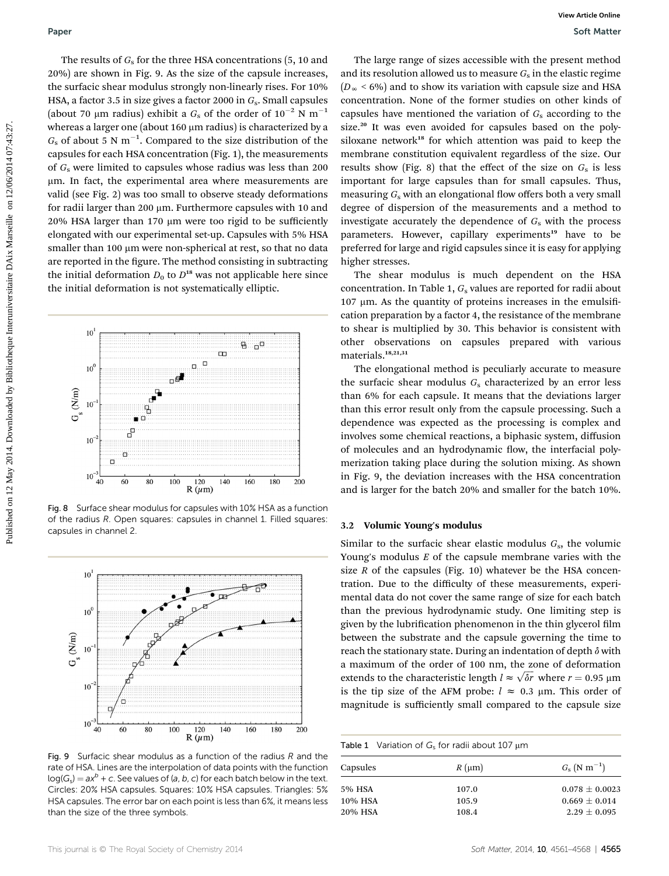The results of  $G_s$  for the three HSA concentrations (5, 10 and 20%) are shown in Fig. 9. As the size of the capsule increases, the surfacic shear modulus strongly non-linearly rises. For 10% HSA, a factor 3.5 in size gives a factor 2000 in  $G_s$ . Small capsules (about 70 µm radius) exhibit a  $G_s$  of the order of  $10^{-2}$  N m<sup>-1</sup> whereas a larger one (about 160  $\mu$ m radius) is characterized by a  $G<sub>s</sub>$  of about 5 N m<sup>-1</sup>. Compared to the size distribution of the capsules for each HSA concentration (Fig. 1), the measurements of  $G_s$  were limited to capsules whose radius was less than 200 mm. In fact, the experimental area where measurements are valid (see Fig. 2) was too small to observe steady deformations for radii larger than 200  $\mu$ m. Furthermore capsules with 10 and  $20\%$  HSA larger than 170  $\mu$ m were too rigid to be sufficiently elongated with our experimental set-up. Capsules with 5% HSA smaller than 100 um were non-spherical at rest, so that no data are reported in the figure. The method consisting in subtracting the initial deformation  $D_0$  to  $D^{18}$  was not applicable here since the initial deformation is not systematically elliptic. **Public 20**<br> **Published on 2014. The state and the exploration of 10 and 10 The state and the measure of the state and the measure of the state and the state and the state and the state and the state and the state and the** 



Fig. 8 Surface shear modulus for capsules with 10% HSA as a function of the radius R. Open squares: capsules in channel 1. Filled squares: capsules in channel 2.



Fig. 9 Surfacic shear modulus as a function of the radius  $R$  and the rate of HSA. Lines are the interpolation of data points with the function  $log(G_s) = ax^b + c$ . See values of (a, b, c) for each batch below in the text. Circles: 20% HSA capsules. Squares: 10% HSA capsules. Triangles: 5% HSA capsules. The error bar on each point is less than 6%, it means less than the size of the three symbols.

The large range of sizes accessible with the present method and its resolution allowed us to measure  $G_s$  in the elastic regime  $(D_{\infty}$  < 6%) and to show its variation with capsule size and HSA concentration. None of the former studies on other kinds of capsules have mentioned the variation of  $G_s$  according to the size.<sup>20</sup> It was even avoided for capsules based on the polysiloxane network<sup>18</sup> for which attention was paid to keep the membrane constitution equivalent regardless of the size. Our results show (Fig. 8) that the effect of the size on  $G_s$  is less important for large capsules than for small capsules. Thus, measuring  $G_s$  with an elongational flow offers both a very small degree of dispersion of the measurements and a method to investigate accurately the dependence of  $G_s$  with the process parameters. However, capillary experiments<sup>19</sup> have to be preferred for large and rigid capsules since it is easy for applying higher stresses.

The shear modulus is much dependent on the HSA concentration. In Table 1,  $G_s$  values are reported for radii about  $107 \mu m$ . As the quantity of proteins increases in the emulsification preparation by a factor 4, the resistance of the membrane to shear is multiplied by 30. This behavior is consistent with other observations on capsules prepared with various materials.<sup>18,21,31</sup>

The elongational method is peculiarly accurate to measure the surfacic shear modulus  $G_s$  characterized by an error less than 6% for each capsule. It means that the deviations larger than this error result only from the capsule processing. Such a dependence was expected as the processing is complex and involves some chemical reactions, a biphasic system, diffusion of molecules and an hydrodynamic flow, the interfacial polymerization taking place during the solution mixing. As shown in Fig. 9, the deviation increases with the HSA concentration and is larger for the batch 20% and smaller for the batch 10%.

### 3.2 Volumic Young's modulus

Similar to the surfacic shear elastic modulus  $G_s$ , the volumic Young's modulus  $E$  of the capsule membrane varies with the size  $R$  of the capsules (Fig. 10) whatever be the HSA concentration. Due to the difficulty of these measurements, experimental data do not cover the same range of size for each batch than the previous hydrodynamic study. One limiting step is given by the lubrification phenomenon in the thin glycerol film between the substrate and the capsule governing the time to reach the stationary state. During an indentation of depth  $\delta$  with a maximum of the order of 100 nm, the zone of deformation extends to the characteristic length  $l \approx \sqrt{\delta r}$  where  $r = 0.95 \text{ }\mu\text{m}$ is the tip size of the AFM probe:  $l \approx 0.3$  µm. This order of magnitude is sufficiently small compared to the capsule size

| Table 1 Variation of $G_s$ for radii about 107 $\mu$ m |                |                                       |
|--------------------------------------------------------|----------------|---------------------------------------|
| Capsules                                               | $R \, (\mu m)$ | $G_{\rm s}$ (N m <sup>-1</sup> )      |
| 5% HSA<br>10% HSA                                      | 107.0<br>105.9 | $0.078 \pm 0.0023$<br>$0.669 + 0.014$ |
| 20% HSA                                                | 108.4          | $2.29 + 0.095$                        |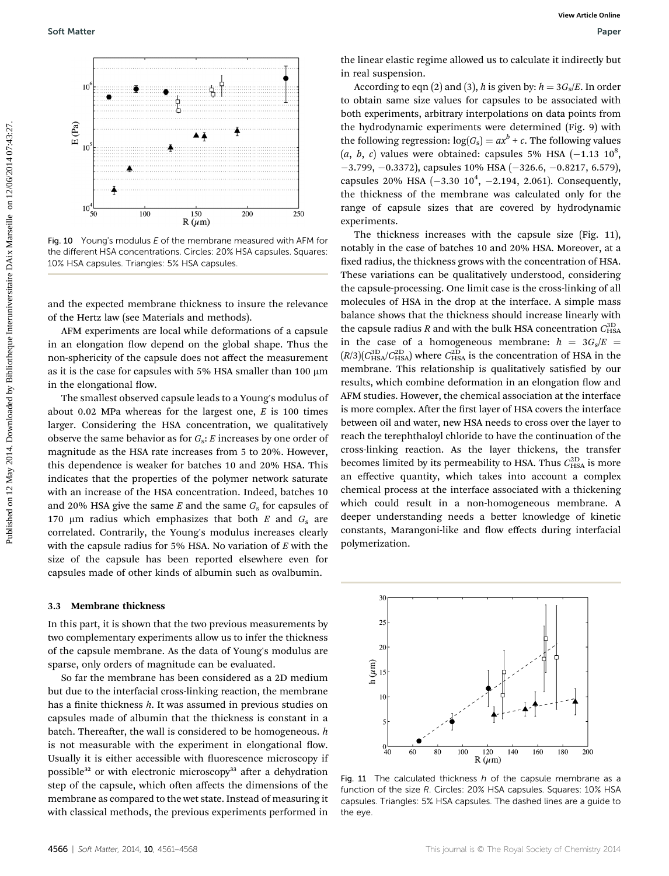

Fig. 10 Young's modulus E of the membrane measured with AFM for the different HSA concentrations. Circles: 20% HSA capsules. Squares: 10% HSA capsules. Triangles: 5% HSA capsules.

and the expected membrane thickness to insure the relevance of the Hertz law (see Materials and methods).

AFM experiments are local while deformations of a capsule in an elongation flow depend on the global shape. Thus the non-sphericity of the capsule does not affect the measurement as it is the case for capsules with 5% HSA smaller than 100  $\mu$ m in the elongational flow.

The smallest observed capsule leads to a Young's modulus of about 0.02 MPa whereas for the largest one,  $E$  is 100 times larger. Considering the HSA concentration, we qualitatively observe the same behavior as for  $G_s$ : E increases by one order of magnitude as the HSA rate increases from 5 to 20%. However, this dependence is weaker for batches 10 and 20% HSA. This indicates that the properties of the polymer network saturate with an increase of the HSA concentration. Indeed, batches 10 and 20% HSA give the same  $E$  and the same  $G_s$  for capsules of 170  $\mu$ m radius which emphasizes that both E and  $G_s$  are correlated. Contrarily, the Young's modulus increases clearly with the capsule radius for 5% HSA. No variation of  $E$  with the size of the capsule has been reported elsewhere even for capsules made of other kinds of albumin such as ovalbumin.

#### 3.3 Membrane thickness

In this part, it is shown that the two previous measurements by two complementary experiments allow us to infer the thickness of the capsule membrane. As the data of Young's modulus are sparse, only orders of magnitude can be evaluated.

So far the membrane has been considered as a 2D medium but due to the interfacial cross-linking reaction, the membrane has a finite thickness  $h$ . It was assumed in previous studies on capsules made of albumin that the thickness is constant in a batch. Thereafter, the wall is considered to be homogeneous.  $h$ is not measurable with the experiment in elongational flow. Usually it is either accessible with fluorescence microscopy if possible<sup>32</sup> or with electronic microscopy<sup>33</sup> after a dehydration step of the capsule, which often affects the dimensions of the membrane as compared to the wet state. Instead of measuring it with classical methods, the previous experiments performed in

the linear elastic regime allowed us to calculate it indirectly but in real suspension.

According to eqn (2) and (3), h is given by:  $h = 3G_s/E$ . In order to obtain same size values for capsules to be associated with both experiments, arbitrary interpolations on data points from the hydrodynamic experiments were determined (Fig. 9) with the following regression:  $log(G_s) = ax^b + c$ . The following values  $(a, b, c)$  values were obtained: capsules 5% HSA  $(-1.13 \; 10^8,$  $-3.799, -0.3372$ ), capsules 10% HSA ( $-326.6, -0.8217, 6.579$ ), capsules 20% HSA  $(-3.30 \; 10^4, \; -2.194, \; 2.061)$ . Consequently, the thickness of the membrane was calculated only for the range of capsule sizes that are covered by hydrodynamic experiments.

The thickness increases with the capsule size (Fig. 11), notably in the case of batches 10 and 20% HSA. Moreover, at a fixed radius, the thickness grows with the concentration of HSA. These variations can be qualitatively understood, considering the capsule-processing. One limit case is the cross-linking of all molecules of HSA in the drop at the interface. A simple mass balance shows that the thickness should increase linearly with the capsule radius  $R$  and with the bulk HSA concentration  $C_{\rm HSA}^{\rm 3D}$ in the case of a homogeneous membrane:  $h = 3G_s/E$  $(R/3)(C_{\text{HSA}}^{3D}/C_{\text{HSA}}^{2D})$  where  $C_{\text{HSA}}^{2D}$  is the concentration of HSA in the membrane. This relationship is qualitatively satisfied by our results, which combine deformation in an elongation flow and AFM studies. However, the chemical association at the interface is more complex. After the first layer of HSA covers the interface between oil and water, new HSA needs to cross over the layer to reach the terephthaloyl chloride to have the continuation of the cross-linking reaction. As the layer thickens, the transfer becomes limited by its permeability to HSA. Thus  $C_{\rm HSA}^{\rm 2D}$  is more an effective quantity, which takes into account a complex chemical process at the interface associated with a thickening which could result in a non-homogeneous membrane. A deeper understanding needs a better knowledge of kinetic constants, Marangoni-like and flow effects during interfacial polymerization. **Soft Matter Software the Constrainer of the Constrainer of the Constrainer of the Constrainer of the Constrainer of the Constrainer of the Constrainer of the Constrainer of the Constrainer of the Constrainer of the Const** 



Fig. 11 The calculated thickness  $h$  of the capsule membrane as a function of the size R. Circles: 20% HSA capsules. Squares: 10% HSA capsules. Triangles: 5% HSA capsules. The dashed lines are a guide to the eye.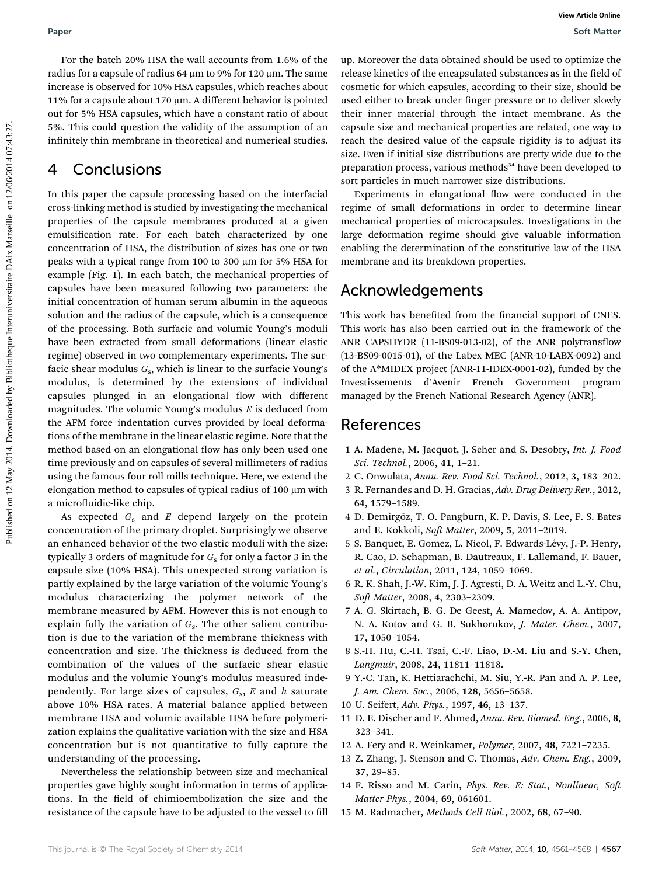For the batch 20% HSA the wall accounts from 1.6% of the radius for a capsule of radius 64  $\mu$ m to 9% for 120  $\mu$ m. The same increase is observed for 10% HSA capsules, which reaches about 11% for a capsule about 170  $\mu$ m. A different behavior is pointed out for 5% HSA capsules, which have a constant ratio of about 5%. This could question the validity of the assumption of an infinitely thin membrane in theoretical and numerical studies.

## 4 Conclusions

In this paper the capsule processing based on the interfacial cross-linking method is studied by investigating the mechanical properties of the capsule membranes produced at a given emulsification rate. For each batch characterized by one concentration of HSA, the distribution of sizes has one or two peaks with a typical range from 100 to 300  $\mu$ m for 5% HSA for example (Fig. 1). In each batch, the mechanical properties of capsules have been measured following two parameters: the initial concentration of human serum albumin in the aqueous solution and the radius of the capsule, which is a consequence of the processing. Both surfacic and volumic Young's moduli have been extracted from small deformations (linear elastic regime) observed in two complementary experiments. The surfacic shear modulus  $G_s$ , which is linear to the surfacic Young's modulus, is determined by the extensions of individual capsules plunged in an elongational flow with different magnitudes. The volumic Young's modulus  $E$  is deduced from the AFM force–indentation curves provided by local deformations of the membrane in the linear elastic regime. Note that the method based on an elongational flow has only been used one time previously and on capsules of several millimeters of radius using the famous four roll mills technique. Here, we extend the elongation method to capsules of typical radius of 100 µm with a microfluidic-like chip. Puper<br>
Puper Car is the capsulate of the solid sections from 1.6% of the - up.Monset the data odds and a considered on<br>
Fig. of a capsulate on the solid capsulate, which results are considered by the<br>
internet behicle on t

As expected  $G_s$  and E depend largely on the protein concentration of the primary droplet. Surprisingly we observe an enhanced behavior of the two elastic moduli with the size: typically 3 orders of magnitude for  $G_s$  for only a factor 3 in the capsule size (10% HSA). This unexpected strong variation is partly explained by the large variation of the volumic Young's modulus characterizing the polymer network of the membrane measured by AFM. However this is not enough to explain fully the variation of  $G_s$ . The other salient contribution is due to the variation of the membrane thickness with concentration and size. The thickness is deduced from the combination of the values of the surfacic shear elastic modulus and the volumic Young's modulus measured independently. For large sizes of capsules,  $G_s$ , E and h saturate above 10% HSA rates. A material balance applied between membrane HSA and volumic available HSA before polymerization explains the qualitative variation with the size and HSA concentration but is not quantitative to fully capture the understanding of the processing.

Nevertheless the relationship between size and mechanical properties gave highly sought information in terms of applications. In the field of chimioembolization the size and the resistance of the capsule have to be adjusted to the vessel to fill up. Moreover the data obtained should be used to optimize the release kinetics of the encapsulated substances as in the field of cosmetic for which capsules, according to their size, should be used either to break under finger pressure or to deliver slowly their inner material through the intact membrane. As the capsule size and mechanical properties are related, one way to reach the desired value of the capsule rigidity is to adjust its size. Even if initial size distributions are pretty wide due to the preparation process, various methods<sup>34</sup> have been developed to sort particles in much narrower size distributions.

Experiments in elongational flow were conducted in the regime of small deformations in order to determine linear mechanical properties of microcapsules. Investigations in the large deformation regime should give valuable information enabling the determination of the constitutive law of the HSA membrane and its breakdown properties.

### Acknowledgements

This work has benefited from the financial support of CNES. This work has also been carried out in the framework of the ANR CAPSHYDR (11-BS09-013-02), of the ANR polytransflow (13-BS09-0015-01), of the Labex MEC (ANR-10-LABX-0092) and of the A\*MIDEX project (ANR-11-IDEX-0001-02), funded by the Investissements d'Avenir French Government program managed by the French National Research Agency (ANR).

### References

- 1 A. Madene, M. Jacquot, J. Scher and S. Desobry, Int. J. Food Sci. Technol., 2006, 41, 1–21.
- 2 C. Onwulata, Annu. Rev. Food Sci. Technol., 2012, 3, 183–202.
- 3 R. Fernandes and D. H. Gracias, Adv. Drug Delivery Rev., 2012, 64, 1579–1589.
- 4 D. Demirgöz, T. O. Pangburn, K. P. Davis, S. Lee, F. S. Bates and E. Kokkoli, Soft Matter, 2009, 5, 2011-2019.
- 5 S. Banquet, E. Gomez, L. Nicol, F. Edwards-Lévy, J.-P. Henry, R. Cao, D. Schapman, B. Dautreaux, F. Lallemand, F. Bauer, et al., Circulation, 2011, 124, 1059–1069.
- 6 R. K. Shah, J.-W. Kim, J. J. Agresti, D. A. Weitz and L.-Y. Chu, Soft Matter, 2008, 4, 2303-2309.
- 7 A. G. Skirtach, B. G. De Geest, A. Mamedov, A. A. Antipov, N. A. Kotov and G. B. Sukhorukov, J. Mater. Chem., 2007, 17, 1050–1054.
- 8 S.-H. Hu, C.-H. Tsai, C.-F. Liao, D.-M. Liu and S.-Y. Chen, Langmuir, 2008, 24, 11811–11818.
- 9 Y.-C. Tan, K. Hettiarachchi, M. Siu, Y.-R. Pan and A. P. Lee, J. Am. Chem. Soc., 2006, 128, 5656–5658.
- 10 U. Seifert, Adv. Phys., 1997, 46, 13–137.
- 11 D. E. Discher and F. Ahmed, Annu. Rev. Biomed. Eng., 2006, 8, 323–341.
- 12 A. Fery and R. Weinkamer, Polymer, 2007, 48, 7221–7235.
- 13 Z. Zhang, J. Stenson and C. Thomas, Adv. Chem. Eng., 2009, 37, 29–85.
- 14 F. Risso and M. Carin, Phys. Rev. E: Stat., Nonlinear, Soft Matter Phys., 2004, 69, 061601.
- 15 M. Radmacher, Methods Cell Biol., 2002, 68, 67–90.